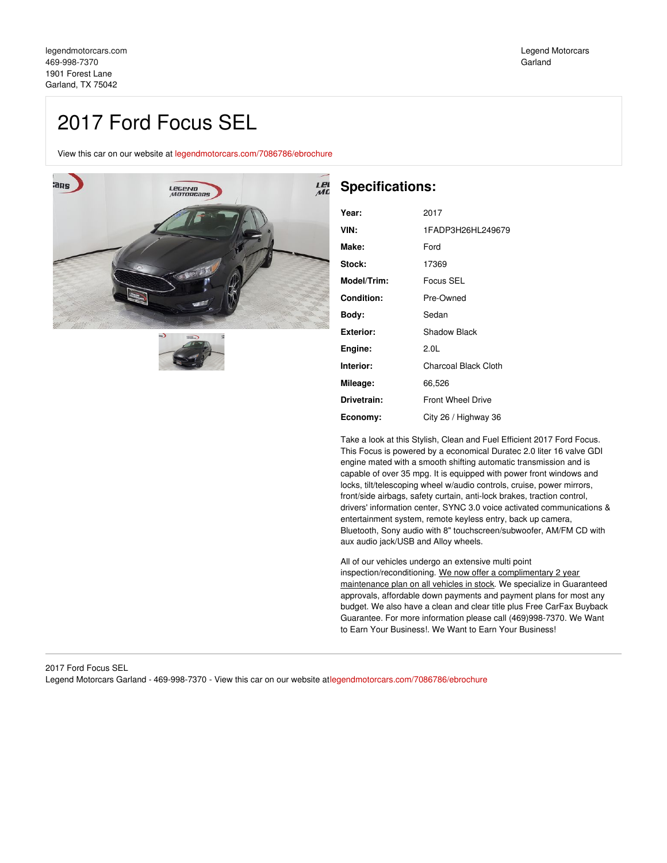# 2017 Ford Focus SEL

View this car on our website at [legendmotorcars.com/7086786/ebrochure](https://legendmotorcars.com/vehicle/7086786/2017-ford-focus-sel-garland-tx-75042/7086786/ebrochure)





# **Specifications:**

| Year:       | 2017                     |
|-------------|--------------------------|
| VIN:        | 1FADP3H26HL249679        |
| Make:       | Ford                     |
| Stock:      | 17369                    |
| Model/Trim: | Focus SEL                |
| Condition:  | Pre-Owned                |
| Body:       | Sedan                    |
| Exterior:   | <b>Shadow Black</b>      |
| Engine:     | 2.0 <sub>L</sub>         |
| Interior:   | Charcoal Black Cloth     |
| Mileage:    | 66,526                   |
| Drivetrain: | <b>Front Wheel Drive</b> |
| Economy:    | City 26 / Highway 36     |

Take a look at this Stylish, Clean and Fuel Efficient 2017 Ford Focus. This Focus is powered by a economical Duratec 2.0 liter 16 valve GDI engine mated with a smooth shifting automatic transmission and is capable of over 35 mpg. It is equipped with power front windows and locks, tilt/telescoping wheel w/audio controls, cruise, power mirrors, front/side airbags, safety curtain, anti-lock brakes, traction control, drivers' information center, SYNC 3.0 voice activated communications & entertainment system, remote keyless entry, back up camera, Bluetooth, Sony audio with 8" touchscreen/subwoofer, AM/FM CD with aux audio jack/USB and Alloy wheels.

All of our vehicles undergo an extensive multi point inspection/reconditioning. We now offer a complimentary 2 year maintenance plan on all vehicles in stock. We specialize in Guaranteed approvals, affordable down payments and payment plans for most any budget. We also have a clean and clear title plus Free CarFax Buyback Guarantee. For more information please call (469)998-7370. We Want to Earn Your Business!. We Want to Earn Your Business!

#### 2017 Ford Focus SEL Legend Motorcars Garland - 469-998-7370 - View this car on our website a[tlegendmotorcars.com/7086786/ebrochure](https://legendmotorcars.com/vehicle/7086786/2017-ford-focus-sel-garland-tx-75042/7086786/ebrochure)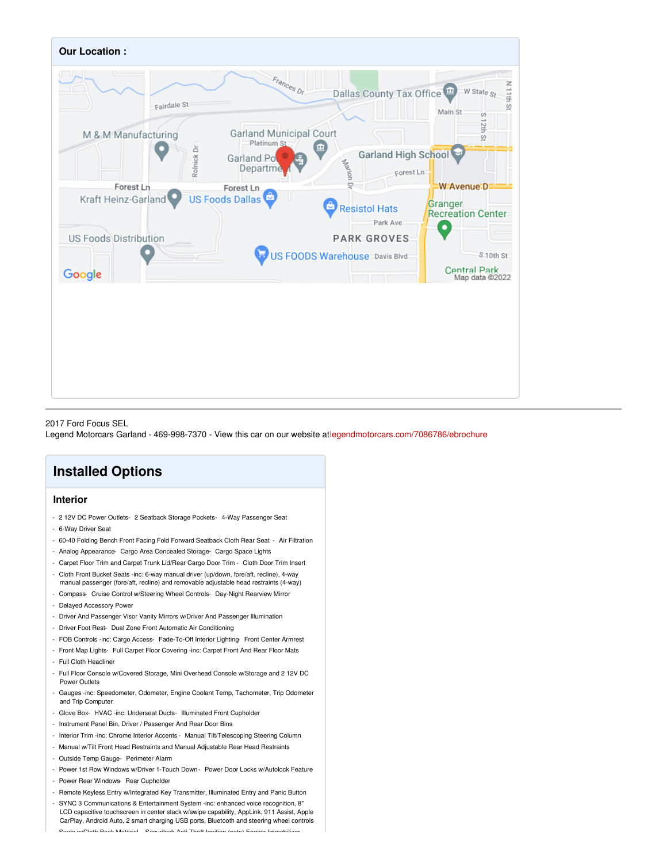

#### 2017 Ford Focus SEL

Legend Motorcars Garland - 469-998-7370 - View this car on our website a[tlegendmotorcars.com/7086786/ebrochure](https://legendmotorcars.com/vehicle/7086786/2017-ford-focus-sel-garland-tx-75042/7086786/ebrochure)

# **Installed Options**

### **Interior**

- 2 12V DC Power Outlets- 2 Seatback Storage Pockets- 4-Way Passenger Seat
- 6-Way Driver Seat
- 60-40 Folding Bench Front Facing Fold Forward Seatback Cloth Rear Seat Air Filtration
- Analog Appearance- Cargo Area Concealed Storage- Cargo Space Lights
- Carpet Floor Trim and Carpet Trunk Lid/Rear Cargo Door Trim Cloth Door Trim Insert
- Cloth Front Bucket Seats -inc: 6-way manual driver (up/down, fore/aft, recline), 4-way manual passenger (fore/aft, recline) and removable adjustable head restraints (4-way)
- Compass- Cruise Control w/Steering Wheel Controls- Day-Night Rearview Mirror
- Delayed Accessory Power
- Driver And Passenger Visor Vanity Mirrors w/Driver And Passenger Illumination
- Driver Foot Rest- Dual Zone Front Automatic Air Conditioning
- FOB Controls -inc: Cargo Access- Fade-To-Off Interior Lighting- Front Center Armrest
- Front Map Lights- Full Carpet Floor Covering -inc: Carpet Front And Rear Floor Mats
- Full Cloth Headliner
- Full Floor Console w/Covered Storage, Mini Overhead Console w/Storage and 2 12V DC Power Outlets
- Gauges -inc: Speedometer, Odometer, Engine Coolant Temp, Tachometer, Trip Odometer and Trip Computer
- Glove Box- HVAC -inc: Underseat Ducts- Illuminated Front Cupholder
- Instrument Panel Bin, Driver / Passenger And Rear Door Bins
- Interior Trim -inc: Chrome Interior Accents Manual Tilt/Telescoping Steering Column
- Manual w/Tilt Front Head Restraints and Manual Adjustable Rear Head Restraints
- Outside Temp Gauge- Perimeter Alarm
- Power 1st Row Windows w/Driver 1-Touch Down Power Door Locks w/Autolock Feature
- Power Rear Windows- Rear Cupholder
- Remote Keyless Entry w/Integrated Key Transmitter, Illuminated Entry and Panic Button
- SYNC 3 Communications & Entertainment System -inc: enhanced voice recognition, 8" LCD capacitive touchscreen in center stack w/swipe capability, AppLink, 911 Assist, Apple CarPlay, Android Auto, 2 smart charging USB ports, Bluetooth and steering wheel controls - Seats w/Cloth Back Material- Securilock Anti-Theft Ignition (pats) Engine Immobilizer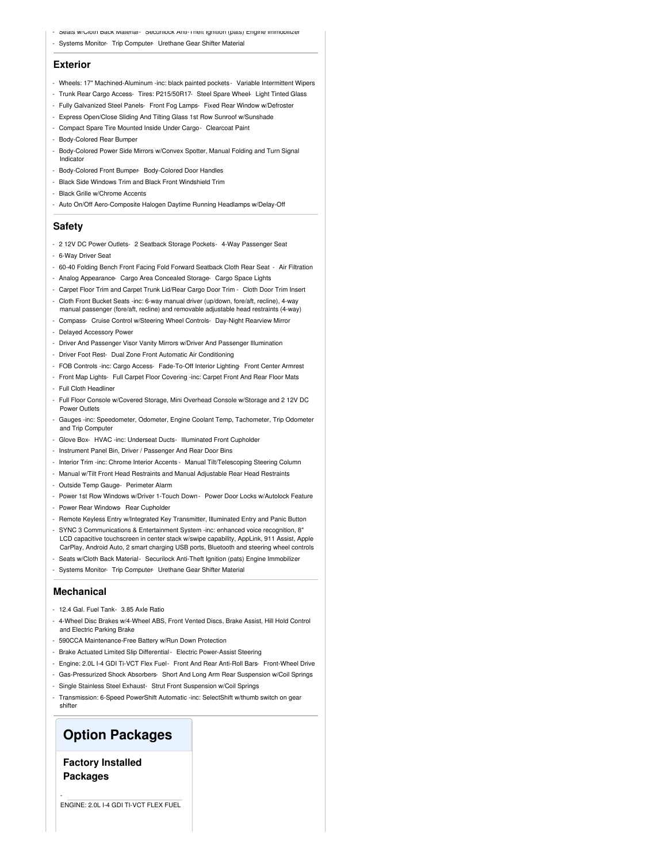- Seats w/Cloth Back Material- Securilock Anti-Theft Ignition (pats) Engine Immobilizer
- Systems Monitor- Trip Computer- Urethane Gear Shifter Material

#### **Exterior**

- Wheels: 17" Machined-Aluminum -inc: black painted pockets- Variable Intermittent Wipers
- Trunk Rear Cargo Access- Tires: P215/50R17- Steel Spare Wheel- Light Tinted Glass
- Fully Galvanized Steel Panels- Front Fog Lamps- Fixed Rear Window w/Defroster
- Express Open/Close Sliding And Tilting Glass 1st Row Sunroof w/Sunshade - Compact Spare Tire Mounted Inside Under Cargo- Clearcoat Paint
- Body-Colored Rear Bumper
- Body-Colored Power Side Mirrors w/Convex Spotter, Manual Folding and Turn Signal Indicator
- Body-Colored Front Bumper- Body-Colored Door Handles
- Black Side Windows Trim and Black Front Windshield Trim
- Black Grille w/Chrome Accents
- Auto On/Off Aero-Composite Halogen Daytime Running Headlamps w/Delay-Off

#### **Safety**

- 2 12V DC Power Outlets- 2 Seatback Storage Pockets- 4-Way Passenger Seat
- 6-Way Driver Seat
- 60-40 Folding Bench Front Facing Fold Forward Seatback Cloth Rear Seat Air Filtration
- Analog Appearance- Cargo Area Concealed Storage- Cargo Space Lights
- Carpet Floor Trim and Carpet Trunk Lid/Rear Cargo Door Trim Cloth Door Trim Insert
- Cloth Front Bucket Seats -inc: 6-way manual driver (up/down, fore/aft, recline), 4-way manual passenger (fore/aft, recline) and removable adjustable head restraints (4-way)
- Compass- Cruise Control w/Steering Wheel Controls- Day-Night Rearview Mirror
- Delayed Accessory Power
- Driver And Passenger Visor Vanity Mirrors w/Driver And Passenger Illumination
- Driver Foot Rest- Dual Zone Front Automatic Air Conditioning
- FOB Controls -inc: Cargo Access- Fade-To-Off Interior Lighting- Front Center Armrest
- Front Map Lights- Full Carpet Floor Covering -inc: Carpet Front And Rear Floor Mats
- Full Cloth Headliner
- Full Floor Console w/Covered Storage, Mini Overhead Console w/Storage and 2 12V DC Power Outlets
- Gauges -inc: Speedometer, Odometer, Engine Coolant Temp, Tachometer, Trip Odometer and Trip Computer
- Glove Box- HVAC -inc: Underseat Ducts- Illuminated Front Cupholder
- Instrument Panel Bin, Driver / Passenger And Rear Door Bins
- Interior Trim -inc: Chrome Interior Accents Manual Tilt/Telescoping Steering Column
- Manual w/Tilt Front Head Restraints and Manual Adjustable Rear Head Restraints
- Outside Temp Gauge- Perimeter Alarm
- Power 1st Row Windows w/Driver 1-Touch Down Power Door Locks w/Autolock Feature
- Power Rear Windows- Rear Cupholder
- Remote Keyless Entry w/Integrated Key Transmitter, Illuminated Entry and Panic Button
- SYNC 3 Communications & Entertainment System -inc: enhanced voice recognition, 8" LCD capacitive touchscreen in center stack w/swipe capability, AppLink, 911 Assist, Apple CarPlay, Android Auto, 2 smart charging USB ports, Bluetooth and steering wheel controls - Seats w/Cloth Back Material- Securilock Anti-Theft Ignition (pats) Engine Immobilizer
- Systems Monitor- Trip Computer- Urethane Gear Shifter Material

#### **Mechanical**

- 12.4 Gal. Fuel Tank- 3.85 Axle Ratio
- 4-Wheel Disc Brakes w/4-Wheel ABS, Front Vented Discs, Brake Assist, Hill Hold Control and Electric Parking Brake
- 590CCA Maintenance-Free Battery w/Run Down Protection
- Brake Actuated Limited Slip Differential Electric Power-Assist Steering
- Engine: 2.0L I-4 GDI Ti-VCT Flex Fuel- Front And Rear Anti-Roll Bars- Front-Wheel Drive
- Gas-Pressurized Shock Absorbers- Short And Long Arm Rear Suspension w/Coil Springs
- Single Stainless Steel Exhaust- Strut Front Suspension w/Coil Springs
- Transmission: 6-Speed PowerShift Automatic -inc: SelectShift w/thumb switch on gear shifter

## **Option Packages**

## **Factory Installed Packages**

-

ENGINE: 2.0L I-4 GDI TI-VCT FLEX FUEL